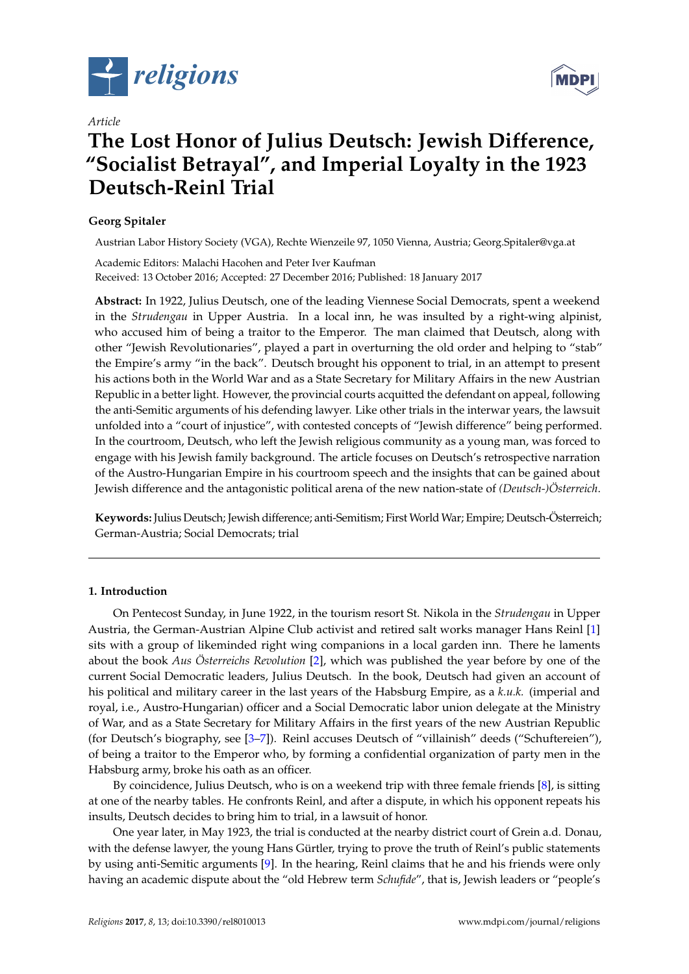





# **The Lost Honor of Julius Deutsch: Jewish Difference, "Socialist Betrayal", and Imperial Loyalty in the 1923 Deutsch-Reinl Trial**

# **Georg Spitaler**

*Article*

Austrian Labor History Society (VGA), Rechte Wienzeile 97, 1050 Vienna, Austria; Georg.Spitaler@vga.at

Academic Editors: Malachi Hacohen and Peter Iver Kaufman Received: 13 October 2016; Accepted: 27 December 2016; Published: 18 January 2017

**Abstract:** In 1922, Julius Deutsch, one of the leading Viennese Social Democrats, spent a weekend in the *Strudengau* in Upper Austria. In a local inn, he was insulted by a right-wing alpinist, who accused him of being a traitor to the Emperor. The man claimed that Deutsch, along with other "Jewish Revolutionaries", played a part in overturning the old order and helping to "stab" the Empire's army "in the back". Deutsch brought his opponent to trial, in an attempt to present his actions both in the World War and as a State Secretary for Military Affairs in the new Austrian Republic in a better light. However, the provincial courts acquitted the defendant on appeal, following the anti-Semitic arguments of his defending lawyer. Like other trials in the interwar years, the lawsuit unfolded into a "court of injustice", with contested concepts of "Jewish difference" being performed. In the courtroom, Deutsch, who left the Jewish religious community as a young man, was forced to engage with his Jewish family background. The article focuses on Deutsch's retrospective narration of the Austro-Hungarian Empire in his courtroom speech and the insights that can be gained about Jewish difference and the antagonistic political arena of the new nation-state of *(Deutsch-)Österreich*.

**Keywords:** Julius Deutsch; Jewish difference; anti-Semitism; First World War; Empire; Deutsch-Österreich; German-Austria; Social Democrats; trial

## **1. Introduction**

On Pentecost Sunday, in June 1922, in the tourism resort St. Nikola in the *Strudengau* in Upper Austria, the German-Austrian Alpine Club activist and retired salt works manager Hans Reinl [\[1\]](#page-8-0) sits with a group of likeminded right wing companions in a local garden inn. There he laments about the book *Aus Österreichs Revolution* [\[2\]](#page-8-1), which was published the year before by one of the current Social Democratic leaders, Julius Deutsch. In the book, Deutsch had given an account of his political and military career in the last years of the Habsburg Empire, as a *k.u.k.* (imperial and royal, i.e., Austro-Hungarian) officer and a Social Democratic labor union delegate at the Ministry of War, and as a State Secretary for Military Affairs in the first years of the new Austrian Republic (for Deutsch's biography, see [\[3–](#page-8-2)[7\]](#page-8-3)). Reinl accuses Deutsch of "villainish" deeds ("Schuftereien"), of being a traitor to the Emperor who, by forming a confidential organization of party men in the Habsburg army, broke his oath as an officer.

By coincidence, Julius Deutsch, who is on a weekend trip with three female friends [\[8\]](#page-8-4), is sitting at one of the nearby tables. He confronts Reinl, and after a dispute, in which his opponent repeats his insults, Deutsch decides to bring him to trial, in a lawsuit of honor.

One year later, in May 1923, the trial is conducted at the nearby district court of Grein a.d. Donau, with the defense lawyer, the young Hans Gürtler, trying to prove the truth of Reinl's public statements by using anti-Semitic arguments [\[9\]](#page-8-5). In the hearing, Reinl claims that he and his friends were only having an academic dispute about the "old Hebrew term *Schufide*", that is, Jewish leaders or "people's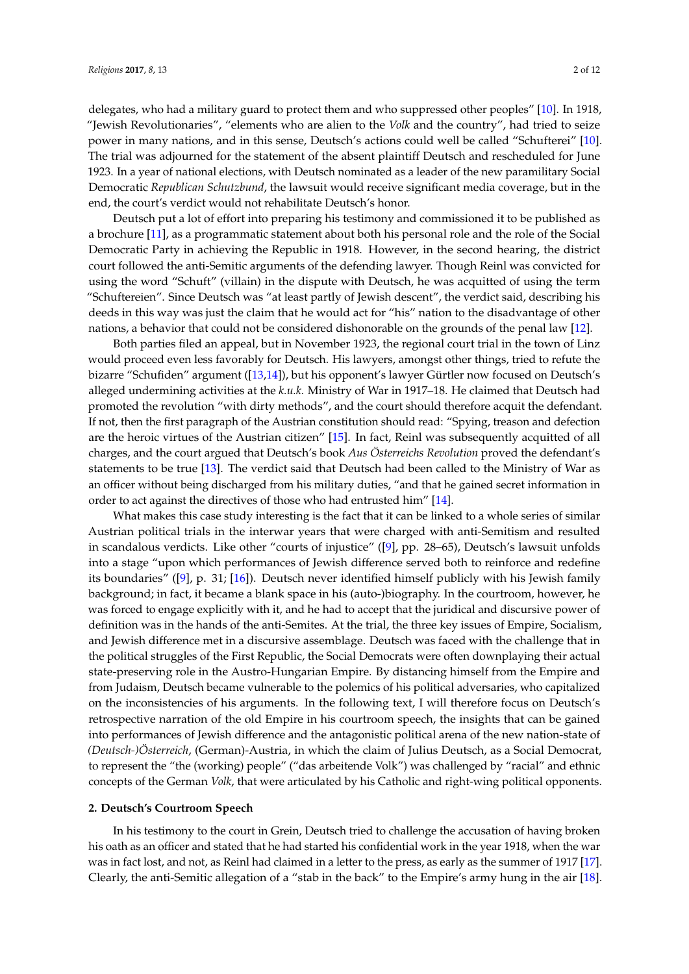delegates, who had a military guard to protect them and who suppressed other peoples" [\[10\]](#page-8-6). In 1918, "Jewish Revolutionaries", "elements who are alien to the *Volk* and the country", had tried to seize power in many nations, and in this sense, Deutsch's actions could well be called "Schufterei" [\[10\]](#page-8-6). The trial was adjourned for the statement of the absent plaintiff Deutsch and rescheduled for June 1923. In a year of national elections, with Deutsch nominated as a leader of the new paramilitary Social Democratic *Republican Schutzbund*, the lawsuit would receive significant media coverage, but in the end, the court's verdict would not rehabilitate Deutsch's honor.

Deutsch put a lot of effort into preparing his testimony and commissioned it to be published as a brochure [\[11\]](#page-8-7), as a programmatic statement about both his personal role and the role of the Social Democratic Party in achieving the Republic in 1918. However, in the second hearing, the district court followed the anti-Semitic arguments of the defending lawyer. Though Reinl was convicted for using the word "Schuft" (villain) in the dispute with Deutsch, he was acquitted of using the term "Schuftereien". Since Deutsch was "at least partly of Jewish descent", the verdict said, describing his deeds in this way was just the claim that he would act for "his" nation to the disadvantage of other nations, a behavior that could not be considered dishonorable on the grounds of the penal law [\[12\]](#page-8-8).

Both parties filed an appeal, but in November 1923, the regional court trial in the town of Linz would proceed even less favorably for Deutsch. His lawyers, amongst other things, tried to refute the bizarre "Schufiden" argument ([\[13](#page-8-9)[,14\]](#page-8-10)), but his opponent's lawyer Gürtler now focused on Deutsch's alleged undermining activities at the *k.u.k.* Ministry of War in 1917–18. He claimed that Deutsch had promoted the revolution "with dirty methods", and the court should therefore acquit the defendant. If not, then the first paragraph of the Austrian constitution should read: "Spying, treason and defection are the heroic virtues of the Austrian citizen" [\[15\]](#page-8-11). In fact, Reinl was subsequently acquitted of all charges, and the court argued that Deutsch's book *Aus Österreichs Revolution* proved the defendant's statements to be true [\[13\]](#page-8-9). The verdict said that Deutsch had been called to the Ministry of War as an officer without being discharged from his military duties, "and that he gained secret information in order to act against the directives of those who had entrusted him" [\[14\]](#page-8-10).

What makes this case study interesting is the fact that it can be linked to a whole series of similar Austrian political trials in the interwar years that were charged with anti-Semitism and resulted in scandalous verdicts. Like other "courts of injustice" ([\[9\]](#page-8-5), pp. 28–65), Deutsch's lawsuit unfolds into a stage "upon which performances of Jewish difference served both to reinforce and redefine its boundaries" ([\[9\]](#page-8-5), p. 31; [\[16\]](#page-8-12)). Deutsch never identified himself publicly with his Jewish family background; in fact, it became a blank space in his (auto-)biography. In the courtroom, however, he was forced to engage explicitly with it, and he had to accept that the juridical and discursive power of definition was in the hands of the anti-Semites. At the trial, the three key issues of Empire, Socialism, and Jewish difference met in a discursive assemblage. Deutsch was faced with the challenge that in the political struggles of the First Republic, the Social Democrats were often downplaying their actual state-preserving role in the Austro-Hungarian Empire. By distancing himself from the Empire and from Judaism, Deutsch became vulnerable to the polemics of his political adversaries, who capitalized on the inconsistencies of his arguments. In the following text, I will therefore focus on Deutsch's retrospective narration of the old Empire in his courtroom speech, the insights that can be gained into performances of Jewish difference and the antagonistic political arena of the new nation-state of *(Deutsch-)Österreich*, (German)-Austria, in which the claim of Julius Deutsch, as a Social Democrat, to represent the "the (working) people" ("das arbeitende Volk") was challenged by "racial" and ethnic concepts of the German *Volk*, that were articulated by his Catholic and right-wing political opponents.

## **2. Deutsch's Courtroom Speech**

In his testimony to the court in Grein, Deutsch tried to challenge the accusation of having broken his oath as an officer and stated that he had started his confidential work in the year 1918, when the war was in fact lost, and not, as Reinl had claimed in a letter to the press, as early as the summer of 1917 [\[17\]](#page-8-13). Clearly, the anti-Semitic allegation of a "stab in the back" to the Empire's army hung in the air [\[18\]](#page-8-14).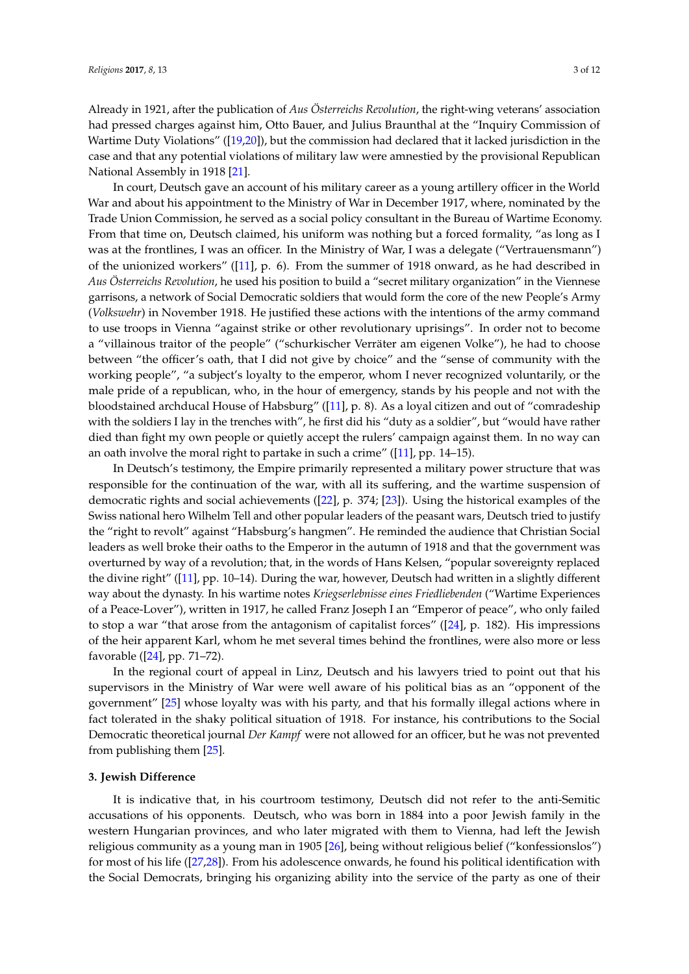Already in 1921, after the publication of *Aus Österreichs Revolution*, the right-wing veterans' association had pressed charges against him, Otto Bauer, and Julius Braunthal at the "Inquiry Commission of Wartime Duty Violations" ([\[19](#page-8-15)[,20\]](#page-8-16)), but the commission had declared that it lacked jurisdiction in the case and that any potential violations of military law were amnestied by the provisional Republican National Assembly in 1918 [\[21\]](#page-8-17).

In court, Deutsch gave an account of his military career as a young artillery officer in the World War and about his appointment to the Ministry of War in December 1917, where, nominated by the Trade Union Commission, he served as a social policy consultant in the Bureau of Wartime Economy. From that time on, Deutsch claimed, his uniform was nothing but a forced formality, "as long as I was at the frontlines, I was an officer. In the Ministry of War, I was a delegate ("Vertrauensmann") of the unionized workers" ([\[11\]](#page-8-7), p. 6). From the summer of 1918 onward, as he had described in *Aus Österreichs Revolution*, he used his position to build a "secret military organization" in the Viennese garrisons, a network of Social Democratic soldiers that would form the core of the new People's Army (*Volkswehr*) in November 1918. He justified these actions with the intentions of the army command to use troops in Vienna "against strike or other revolutionary uprisings". In order not to become a "villainous traitor of the people" ("schurkischer Verräter am eigenen Volke"), he had to choose between "the officer's oath, that I did not give by choice" and the "sense of community with the working people", "a subject's loyalty to the emperor, whom I never recognized voluntarily, or the male pride of a republican, who, in the hour of emergency, stands by his people and not with the bloodstained archducal House of Habsburg" ([\[11\]](#page-8-7), p. 8). As a loyal citizen and out of "comradeship with the soldiers I lay in the trenches with", he first did his "duty as a soldier", but "would have rather died than fight my own people or quietly accept the rulers' campaign against them. In no way can an oath involve the moral right to partake in such a crime" ([\[11\]](#page-8-7), pp. 14–15).

In Deutsch's testimony, the Empire primarily represented a military power structure that was responsible for the continuation of the war, with all its suffering, and the wartime suspension of democratic rights and social achievements ([\[22\]](#page-8-18), p. 374; [\[23\]](#page-9-0)). Using the historical examples of the Swiss national hero Wilhelm Tell and other popular leaders of the peasant wars, Deutsch tried to justify the "right to revolt" against "Habsburg's hangmen". He reminded the audience that Christian Social leaders as well broke their oaths to the Emperor in the autumn of 1918 and that the government was overturned by way of a revolution; that, in the words of Hans Kelsen, "popular sovereignty replaced the divine right" ([\[11\]](#page-8-7), pp. 10-14). During the war, however, Deutsch had written in a slightly different way about the dynasty. In his wartime notes *Kriegserlebnisse eines Friedliebenden* ("Wartime Experiences of a Peace-Lover"), written in 1917, he called Franz Joseph I an "Emperor of peace", who only failed to stop a war "that arose from the antagonism of capitalist forces" ([\[24\]](#page-9-1), p. 182). His impressions of the heir apparent Karl, whom he met several times behind the frontlines, were also more or less favorable ([\[24\]](#page-9-1), pp. 71–72).

In the regional court of appeal in Linz, Deutsch and his lawyers tried to point out that his supervisors in the Ministry of War were well aware of his political bias as an "opponent of the government" [\[25\]](#page-9-2) whose loyalty was with his party, and that his formally illegal actions where in fact tolerated in the shaky political situation of 1918. For instance, his contributions to the Social Democratic theoretical journal *Der Kampf* were not allowed for an officer, but he was not prevented from publishing them [\[25\]](#page-9-2).

#### **3. Jewish Difference**

It is indicative that, in his courtroom testimony, Deutsch did not refer to the anti-Semitic accusations of his opponents. Deutsch, who was born in 1884 into a poor Jewish family in the western Hungarian provinces, and who later migrated with them to Vienna, had left the Jewish religious community as a young man in 1905 [\[26\]](#page-9-3), being without religious belief ("konfessionslos") for most of his life ([\[27](#page-9-4)[,28\]](#page-9-5)). From his adolescence onwards, he found his political identification with the Social Democrats, bringing his organizing ability into the service of the party as one of their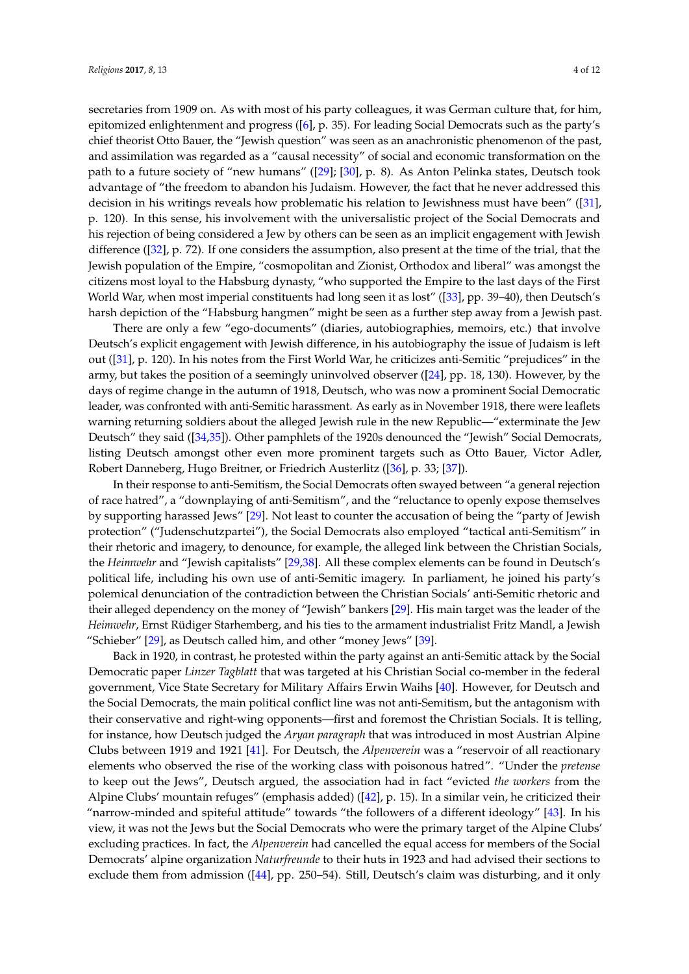secretaries from 1909 on. As with most of his party colleagues, it was German culture that, for him, epitomized enlightenment and progress ([\[6\]](#page-8-19), p. 35). For leading Social Democrats such as the party's chief theorist Otto Bauer, the "Jewish question" was seen as an anachronistic phenomenon of the past, and assimilation was regarded as a "causal necessity" of social and economic transformation on the path to a future society of "new humans" ([\[29\]](#page-9-6); [\[30\]](#page-9-7), p. 8). As Anton Pelinka states, Deutsch took advantage of "the freedom to abandon his Judaism. However, the fact that he never addressed this decision in his writings reveals how problematic his relation to Jewishness must have been" ([\[31\]](#page-9-8), p. 120). In this sense, his involvement with the universalistic project of the Social Democrats and his rejection of being considered a Jew by others can be seen as an implicit engagement with Jewish difference ([\[32\]](#page-9-9), p. 72). If one considers the assumption, also present at the time of the trial, that the Jewish population of the Empire, "cosmopolitan and Zionist, Orthodox and liberal" was amongst the citizens most loyal to the Habsburg dynasty, "who supported the Empire to the last days of the First World War, when most imperial constituents had long seen it as lost" ([\[33\]](#page-9-10), pp. 39–40), then Deutsch's harsh depiction of the "Habsburg hangmen" might be seen as a further step away from a Jewish past.

There are only a few "ego-documents" (diaries, autobiographies, memoirs, etc.) that involve Deutsch's explicit engagement with Jewish difference, in his autobiography the issue of Judaism is left out ([\[31\]](#page-9-8), p. 120). In his notes from the First World War, he criticizes anti-Semitic "prejudices" in the army, but takes the position of a seemingly uninvolved observer ([\[24\]](#page-9-1), pp. 18, 130). However, by the days of regime change in the autumn of 1918, Deutsch, who was now a prominent Social Democratic leader, was confronted with anti-Semitic harassment. As early as in November 1918, there were leaflets warning returning soldiers about the alleged Jewish rule in the new Republic—"exterminate the Jew Deutsch" they said ([\[34,](#page-9-11)[35\]](#page-9-12)). Other pamphlets of the 1920s denounced the "Jewish" Social Democrats, listing Deutsch amongst other even more prominent targets such as Otto Bauer, Victor Adler, Robert Danneberg, Hugo Breitner, or Friedrich Austerlitz ([\[36\]](#page-9-13), p. 33; [\[37\]](#page-9-14)).

In their response to anti-Semitism, the Social Democrats often swayed between "a general rejection of race hatred", a "downplaying of anti-Semitism", and the "reluctance to openly expose themselves by supporting harassed Jews" [\[29\]](#page-9-6). Not least to counter the accusation of being the "party of Jewish protection" ("Judenschutzpartei"), the Social Democrats also employed "tactical anti-Semitism" in their rhetoric and imagery, to denounce, for example, the alleged link between the Christian Socials, the *Heimwehr* and "Jewish capitalists" [\[29,](#page-9-6)[38\]](#page-9-15). All these complex elements can be found in Deutsch's political life, including his own use of anti-Semitic imagery. In parliament, he joined his party's polemical denunciation of the contradiction between the Christian Socials' anti-Semitic rhetoric and their alleged dependency on the money of "Jewish" bankers [\[29\]](#page-9-6). His main target was the leader of the *Heimwehr*, Ernst Rüdiger Starhemberg, and his ties to the armament industrialist Fritz Mandl, a Jewish "Schieber" [\[29\]](#page-9-6), as Deutsch called him, and other "money Jews" [\[39\]](#page-9-16).

Back in 1920, in contrast, he protested within the party against an anti-Semitic attack by the Social Democratic paper *Linzer Tagblatt* that was targeted at his Christian Social co-member in the federal government, Vice State Secretary for Military Affairs Erwin Waihs [\[40\]](#page-9-17). However, for Deutsch and the Social Democrats, the main political conflict line was not anti-Semitism, but the antagonism with their conservative and right-wing opponents—first and foremost the Christian Socials. It is telling, for instance, how Deutsch judged the *Aryan paragraph* that was introduced in most Austrian Alpine Clubs between 1919 and 1921 [\[41\]](#page-9-18). For Deutsch, the *Alpenverein* was a "reservoir of all reactionary elements who observed the rise of the working class with poisonous hatred". "Under the *pretense* to keep out the Jews", Deutsch argued, the association had in fact "evicted *the workers* from the Alpine Clubs' mountain refuges" (emphasis added) ([\[42\]](#page-9-19), p. 15). In a similar vein, he criticized their "narrow-minded and spiteful attitude" towards "the followers of a different ideology" [\[43\]](#page-9-20). In his view, it was not the Jews but the Social Democrats who were the primary target of the Alpine Clubs' excluding practices. In fact, the *Alpenverein* had cancelled the equal access for members of the Social Democrats' alpine organization *Naturfreunde* to their huts in 1923 and had advised their sections to exclude them from admission ([\[44\]](#page-10-0), pp. 250–54). Still, Deutsch's claim was disturbing, and it only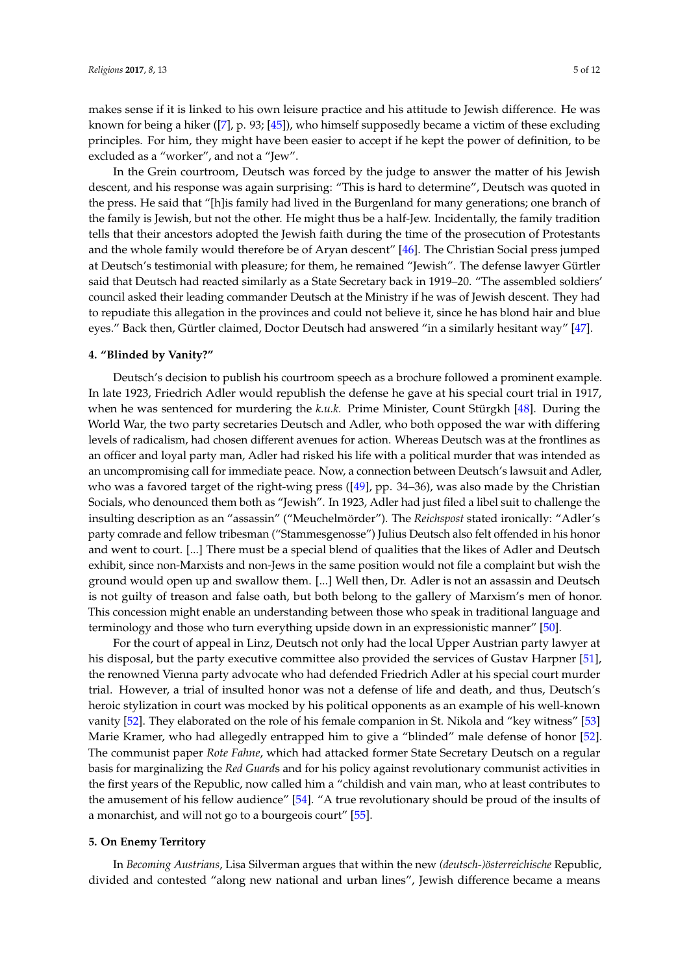makes sense if it is linked to his own leisure practice and his attitude to Jewish difference. He was known for being a hiker ([\[7\]](#page-8-3), p. 93; [\[45\]](#page-10-1)), who himself supposedly became a victim of these excluding principles. For him, they might have been easier to accept if he kept the power of definition, to be excluded as a "worker", and not a "Jew".

In the Grein courtroom, Deutsch was forced by the judge to answer the matter of his Jewish descent, and his response was again surprising: "This is hard to determine", Deutsch was quoted in the press. He said that "[h]is family had lived in the Burgenland for many generations; one branch of the family is Jewish, but not the other. He might thus be a half-Jew. Incidentally, the family tradition tells that their ancestors adopted the Jewish faith during the time of the prosecution of Protestants and the whole family would therefore be of Aryan descent" [\[46\]](#page-10-2). The Christian Social press jumped at Deutsch's testimonial with pleasure; for them, he remained "Jewish". The defense lawyer Gürtler said that Deutsch had reacted similarly as a State Secretary back in 1919–20. "The assembled soldiers' council asked their leading commander Deutsch at the Ministry if he was of Jewish descent. They had to repudiate this allegation in the provinces and could not believe it, since he has blond hair and blue eyes." Back then, Gürtler claimed, Doctor Deutsch had answered "in a similarly hesitant way" [\[47\]](#page-10-3).

#### **4. "Blinded by Vanity?"**

Deutsch's decision to publish his courtroom speech as a brochure followed a prominent example. In late 1923, Friedrich Adler would republish the defense he gave at his special court trial in 1917, when he was sentenced for murdering the *k.u.k.* Prime Minister, Count Stürgkh [\[48\]](#page-10-4). During the World War, the two party secretaries Deutsch and Adler, who both opposed the war with differing levels of radicalism, had chosen different avenues for action. Whereas Deutsch was at the frontlines as an officer and loyal party man, Adler had risked his life with a political murder that was intended as an uncompromising call for immediate peace. Now, a connection between Deutsch's lawsuit and Adler, who was a favored target of the right-wing press ([\[49\]](#page-10-5), pp. 34–36), was also made by the Christian Socials, who denounced them both as "Jewish". In 1923, Adler had just filed a libel suit to challenge the insulting description as an "assassin" ("Meuchelmörder"). The *Reichspost* stated ironically: "Adler's party comrade and fellow tribesman ("Stammesgenosse") Julius Deutsch also felt offended in his honor and went to court. [...] There must be a special blend of qualities that the likes of Adler and Deutsch exhibit, since non-Marxists and non-Jews in the same position would not file a complaint but wish the ground would open up and swallow them. [...] Well then, Dr. Adler is not an assassin and Deutsch is not guilty of treason and false oath, but both belong to the gallery of Marxism's men of honor. This concession might enable an understanding between those who speak in traditional language and terminology and those who turn everything upside down in an expressionistic manner" [\[50\]](#page-10-6).

For the court of appeal in Linz, Deutsch not only had the local Upper Austrian party lawyer at his disposal, but the party executive committee also provided the services of Gustav Harpner [\[51\]](#page-10-7), the renowned Vienna party advocate who had defended Friedrich Adler at his special court murder trial. However, a trial of insulted honor was not a defense of life and death, and thus, Deutsch's heroic stylization in court was mocked by his political opponents as an example of his well-known vanity [\[52\]](#page-10-8). They elaborated on the role of his female companion in St. Nikola and "key witness" [\[53\]](#page-10-9) Marie Kramer, who had allegedly entrapped him to give a "blinded" male defense of honor [\[52\]](#page-10-8). The communist paper *Rote Fahne*, which had attacked former State Secretary Deutsch on a regular basis for marginalizing the *Red Guard*s and for his policy against revolutionary communist activities in the first years of the Republic, now called him a "childish and vain man, who at least contributes to the amusement of his fellow audience" [\[54\]](#page-10-10). "A true revolutionary should be proud of the insults of a monarchist, and will not go to a bourgeois court" [\[55\]](#page-10-11).

#### **5. On Enemy Territory**

In *Becoming Austrians*, Lisa Silverman argues that within the new *(deutsch-)österreichische* Republic, divided and contested "along new national and urban lines", Jewish difference became a means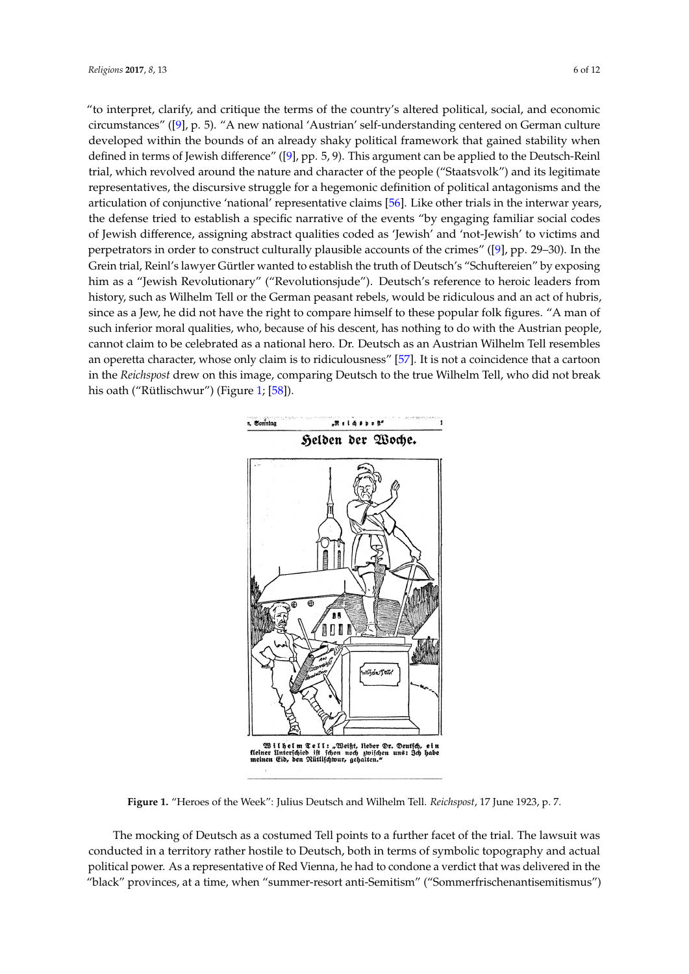"to interpret, clarify, and critique the terms of the country's altered political, social, and economic circumstances" ([\[9\]](#page-8-5), p. 5). "A new national 'Austrian' self-understanding centered on German culture developed within the bounds of an already shaky political framework that gained stability when defined in terms of Jewish difference" ([\[9\]](#page-8-5), pp. 5, 9). This argument can be applied to the Deutsch-Reinl trial, which revolved around the nature and character of the people ("Staatsvolk") and its legitimate representatives, the discursive struggle for a hegemonic definition of political antagonisms and the articulation of conjunctive 'national' representative claims [\[56\]](#page-10-12). Like other trials in the interwar years, the defense tried to establish a specific narrative of the events "by engaging familiar social codes of Jewish difference, assigning abstract qualities coded as 'Jewish' and 'not-Jewish' to victims and perpetrators in order to construct culturally plausible accounts of the crimes" ([\[9\]](#page-8-5), pp. 29–30). In the -<br>Grein trial, Reinl's lawyer Gürtler wanted to establish the truth of Deutsch's "Schuftereien" by exposing him as a "Jewish Revolutionary" ("Revolutionsjude"). Deutsch's reference to heroic leaders from history, such as Wilhelm Tell or the German peasant rebels, would be ridiculous and an act of hubris, since as a Jew, he did not have the right to compare himself to these popular folk figures. "A man of such inferior moral qualities, who, because of his descent, has nothing to do with the Austrian people, cannot claim to be celebrated as a national hero. Dr. Deutsch as an Austrian Wilhelm Tell resembles an operetta character, whose only claim is to ridiculousness" [\[57\]](#page-10-13). It is not a coincidence that a cartoon in the *Reichspost* drew on this image, comparing Deutsch to the true Wilhelm Tell, who did not break his oath ("Rütlischwur") (Figure [1;](#page-5-0) [\[58\]](#page-10-14)).

<span id="page-5-0"></span>

**Figure 1.** "Heroes of the Week": Julius Deutsch and Wilhelm Tell. *Reichspost*, 17 June 1923, p. 7. **Figure 1.** "Heroes of the Week": Julius Deutsch and Wilhelm Tell. *Reichspost*, 17 June 1923, p. 7.

6 "black" provinces, at a time, when "summer-resort anti-Semitism" ("Sommerfrischenantisemitismus")The mocking of Deutsch as a costumed Tell points to a further facet of the trial. The lawsuit was The mocking of Deutsch as a costumed Tell points to a further facet of the trial. The lawsuit was conducted in a territory rather hostile to Deutsch, both in terms of symbolic topography and actual conducted in a territory rather hostile to Deutsch, both in terms of symbolic topography and actual political power. As a representative of Red Vienna, he had to condone a verdict that was delivered in political power. As a representative of Red Vienna, he had to condone a verdict that was delivered in the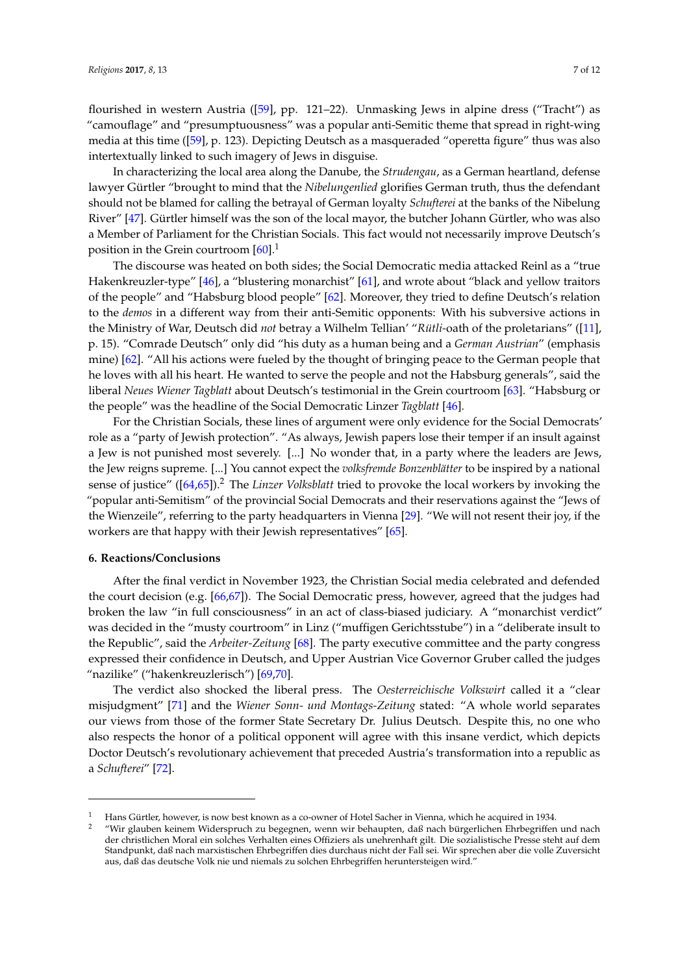flourished in western Austria ([\[59\]](#page-10-15), pp. 121–22). Unmasking Jews in alpine dress ("Tracht") as "camouflage" and "presumptuousness" was a popular anti-Semitic theme that spread in right-wing media at this time ([\[59\]](#page-10-15), p. 123). Depicting Deutsch as a masqueraded "operetta figure" thus was also intertextually linked to such imagery of Jews in disguise.

In characterizing the local area along the Danube, the *Strudengau*, as a German heartland, defense lawyer Gürtler "brought to mind that the *Nibelungenlied* glorifies German truth, thus the defendant should not be blamed for calling the betrayal of German loyalty *Schufterei* at the banks of the Nibelung River" [\[47\]](#page-10-3). Gürtler himself was the son of the local mayor, the butcher Johann Gürtler, who was also a Member of Parliament for the Christian Socials. This fact would not necessarily improve Deutsch's position in the Grein courtroom  $[60]$ <sup>1</sup>

The discourse was heated on both sides; the Social Democratic media attacked Reinl as a "true Hakenkreuzler-type" [\[46\]](#page-10-2), a "blustering monarchist" [\[61\]](#page-10-17), and wrote about "black and yellow traitors of the people" and "Habsburg blood people" [\[62\]](#page-10-18). Moreover, they tried to define Deutsch's relation to the *demos* in a different way from their anti-Semitic opponents: With his subversive actions in the Ministry of War, Deutsch did *not* betray a Wilhelm Tellian' "*Rütli-*oath of the proletarians" ([\[11\]](#page-8-7), p. 15). "Comrade Deutsch" only did "his duty as a human being and a *German Austrian*" (emphasis mine) [\[62\]](#page-10-18). "All his actions were fueled by the thought of bringing peace to the German people that he loves with all his heart. He wanted to serve the people and not the Habsburg generals", said the liberal *Neues Wiener Tagblatt* about Deutsch's testimonial in the Grein courtroom [\[63\]](#page-10-19). "Habsburg or the people" was the headline of the Social Democratic Linzer *Tagblatt* [\[46\]](#page-10-2).

For the Christian Socials, these lines of argument were only evidence for the Social Democrats' role as a "party of Jewish protection". "As always, Jewish papers lose their temper if an insult against a Jew is not punished most severely. [...] No wonder that, in a party where the leaders are Jews, the Jew reigns supreme. [...] You cannot expect the *volksfremde Bonzenblätter* to be inspired by a national sense of justice" ([\[64](#page-10-20)[,65\]](#page-10-21)).<sup>2</sup> The *Linzer Volksblatt* tried to provoke the local workers by invoking the "popular anti-Semitism" of the provincial Social Democrats and their reservations against the "Jews of the Wienzeile", referring to the party headquarters in Vienna [\[29\]](#page-9-6). "We will not resent their joy, if the workers are that happy with their Jewish representatives" [\[65\]](#page-10-21).

#### **6. Reactions/Conclusions**

After the final verdict in November 1923, the Christian Social media celebrated and defended the court decision (e.g. [\[66](#page-10-22)[,67\]](#page-10-23)). The Social Democratic press, however, agreed that the judges had broken the law "in full consciousness" in an act of class-biased judiciary. A "monarchist verdict" was decided in the "musty courtroom" in Linz ("muffigen Gerichtsstube") in a "deliberate insult to the Republic", said the *Arbeiter-Zeitung* [\[68\]](#page-10-24). The party executive committee and the party congress expressed their confidence in Deutsch, and Upper Austrian Vice Governor Gruber called the judges "nazilike" ("hakenkreuzlerisch") [\[69,](#page-10-25)[70\]](#page-10-26).

The verdict also shocked the liberal press. The *Oesterreichische Volkswirt* called it a "clear misjudgment" [\[71\]](#page-10-27) and the *Wiener Sonn- und Montags-Zeitung* stated: "A whole world separates our views from those of the former State Secretary Dr. Julius Deutsch. Despite this, no one who also respects the honor of a political opponent will agree with this insane verdict, which depicts Doctor Deutsch's revolutionary achievement that preceded Austria's transformation into a republic as a *Schufterei*" [\[72\]](#page-10-28).

<sup>1</sup> Hans Gürtler, however, is now best known as a co-owner of Hotel Sacher in Vienna, which he acquired in 1934.

<sup>2</sup> "Wir glauben keinem Widerspruch zu begegnen, wenn wir behaupten, daß nach bürgerlichen Ehrbegriffen und nach der christlichen Moral ein solches Verhalten eines Offiziers als unehrenhaft gilt. Die sozialistische Presse steht auf dem Standpunkt, daß nach marxistischen Ehrbegriffen dies durchaus nicht der Fall sei. Wir sprechen aber die volle Zuversicht aus, daß das deutsche Volk nie und niemals zu solchen Ehrbegriffen heruntersteigen wird."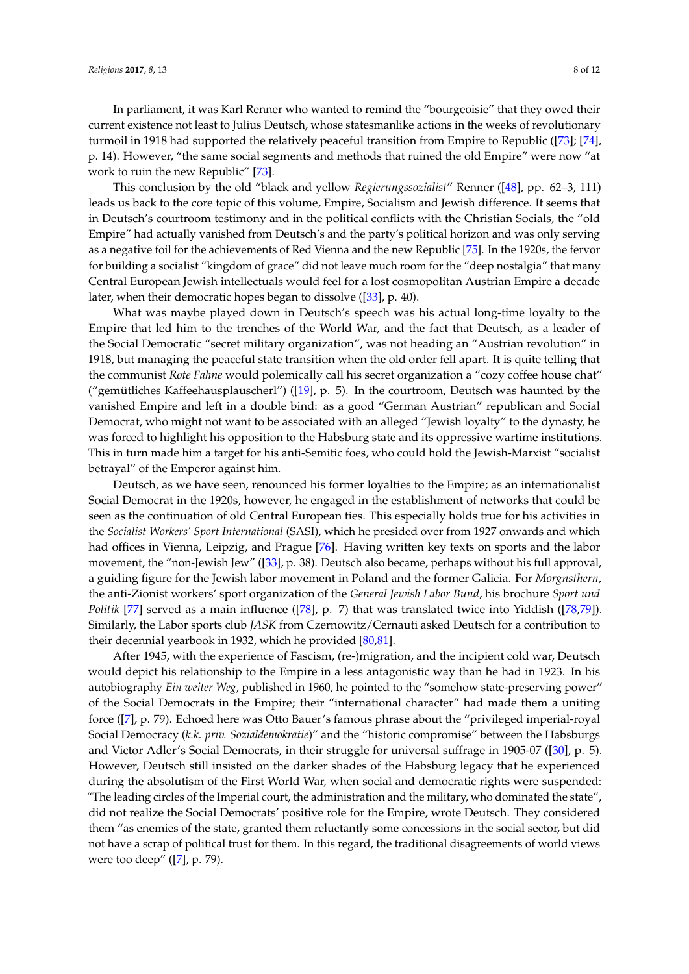In parliament, it was Karl Renner who wanted to remind the "bourgeoisie" that they owed their current existence not least to Julius Deutsch, whose statesmanlike actions in the weeks of revolutionary turmoil in 1918 had supported the relatively peaceful transition from Empire to Republic ([\[73\]](#page-10-29); [\[74\]](#page-10-30), p. 14). However, "the same social segments and methods that ruined the old Empire" were now "at work to ruin the new Republic" [\[73\]](#page-10-29).

This conclusion by the old "black and yellow *Regierungssozialist*" Renner ([\[48\]](#page-10-4), pp. 62–3, 111) leads us back to the core topic of this volume, Empire, Socialism and Jewish difference. It seems that in Deutsch's courtroom testimony and in the political conflicts with the Christian Socials, the "old Empire" had actually vanished from Deutsch's and the party's political horizon and was only serving as a negative foil for the achievements of Red Vienna and the new Republic [\[75\]](#page-10-31). In the 1920s, the fervor for building a socialist "kingdom of grace" did not leave much room for the "deep nostalgia" that many Central European Jewish intellectuals would feel for a lost cosmopolitan Austrian Empire a decade later, when their democratic hopes began to dissolve ([\[33\]](#page-9-10), p. 40).

What was maybe played down in Deutsch's speech was his actual long-time loyalty to the Empire that led him to the trenches of the World War, and the fact that Deutsch, as a leader of the Social Democratic "secret military organization", was not heading an "Austrian revolution" in 1918, but managing the peaceful state transition when the old order fell apart. It is quite telling that the communist *Rote Fahne* would polemically call his secret organization a "cozy coffee house chat" ("gemütliches Kaffeehausplauscherl") ([\[19\]](#page-8-15), p. 5). In the courtroom, Deutsch was haunted by the vanished Empire and left in a double bind: as a good "German Austrian" republican and Social Democrat, who might not want to be associated with an alleged "Jewish loyalty" to the dynasty, he was forced to highlight his opposition to the Habsburg state and its oppressive wartime institutions. This in turn made him a target for his anti-Semitic foes, who could hold the Jewish-Marxist "socialist betrayal" of the Emperor against him.

Deutsch, as we have seen, renounced his former loyalties to the Empire; as an internationalist Social Democrat in the 1920s, however, he engaged in the establishment of networks that could be seen as the continuation of old Central European ties. This especially holds true for his activities in the *Socialist Workers' Sport International* (SASI), which he presided over from 1927 onwards and which had offices in Vienna, Leipzig, and Prague [\[76\]](#page-10-32). Having written key texts on sports and the labor movement, the "non-Jewish Jew" ([\[33\]](#page-9-10), p. 38). Deutsch also became, perhaps without his full approval, a guiding figure for the Jewish labor movement in Poland and the former Galicia. For *Morgnsthern*, the anti-Zionist workers' sport organization of the *General Jewish Labor Bund*, his brochure *Sport und Politik* [\[77\]](#page-10-33) served as a main influence ([\[78\]](#page-11-0), p. 7) that was translated twice into Yiddish ([\[78,](#page-11-0)[79\]](#page-11-1)). Similarly, the Labor sports club *JASK* from Czernowitz/Cernauti asked Deutsch for a contribution to their decennial yearbook in 1932, which he provided [\[80,](#page-11-2)[81\]](#page-11-3).

After 1945, with the experience of Fascism, (re-)migration, and the incipient cold war, Deutsch would depict his relationship to the Empire in a less antagonistic way than he had in 1923. In his autobiography *Ein weiter Weg*, published in 1960, he pointed to the "somehow state-preserving power" of the Social Democrats in the Empire; their "international character" had made them a uniting force ([\[7\]](#page-8-3), p. 79). Echoed here was Otto Bauer's famous phrase about the "privileged imperial-royal Social Democracy (*k.k. priv. Sozialdemokratie*)" and the "historic compromise" between the Habsburgs and Victor Adler's Social Democrats, in their struggle for universal suffrage in 1905-07 ([\[30\]](#page-9-7), p. 5). However, Deutsch still insisted on the darker shades of the Habsburg legacy that he experienced during the absolutism of the First World War, when social and democratic rights were suspended: "The leading circles of the Imperial court, the administration and the military, who dominated the state", did not realize the Social Democrats' positive role for the Empire, wrote Deutsch. They considered them "as enemies of the state, granted them reluctantly some concessions in the social sector, but did not have a scrap of political trust for them. In this regard, the traditional disagreements of world views were too deep" ([\[7\]](#page-8-3), p. 79).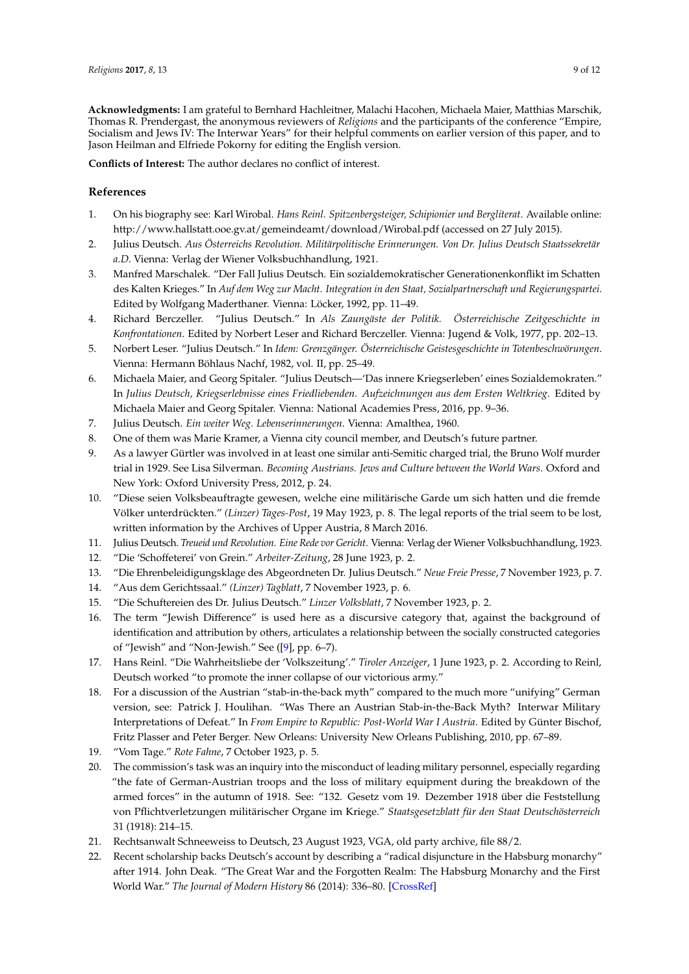**Acknowledgments:** I am grateful to Bernhard Hachleitner, Malachi Hacohen, Michaela Maier, Matthias Marschik, Thomas R. Prendergast, the anonymous reviewers of *Religions* and the participants of the conference "Empire, Socialism and Jews IV: The Interwar Years" for their helpful comments on earlier version of this paper, and to Jason Heilman and Elfriede Pokorny for editing the English version.

**Conflicts of Interest:** The author declares no conflict of interest.

## **References**

- <span id="page-8-0"></span>1. On his biography see: Karl Wirobal. *Hans Reinl. Spitzenbergsteiger, Schipionier und Bergliterat*. Available online: <http://www.hallstatt.ooe.gv.at/gemeindeamt/download/Wirobal.pdf> (accessed on 27 July 2015).
- <span id="page-8-1"></span>2. Julius Deutsch. *Aus Österreichs Revolution. Militärpolitische Erinnerungen. Von Dr. Julius Deutsch Staatssekretär a.D*. Vienna: Verlag der Wiener Volksbuchhandlung, 1921.
- <span id="page-8-2"></span>3. Manfred Marschalek. "Der Fall Julius Deutsch. Ein sozialdemokratischer Generationenkonflikt im Schatten des Kalten Krieges." In *Auf dem Weg zur Macht. Integration in den Staat, Sozialpartnerschaft und Regierungspartei*. Edited by Wolfgang Maderthaner. Vienna: Löcker, 1992, pp. 11–49.
- 4. Richard Berczeller. "Julius Deutsch." In *Als Zaungäste der Politik. Österreichische Zeitgeschichte in Konfrontationen*. Edited by Norbert Leser and Richard Berczeller. Vienna: Jugend & Volk, 1977, pp. 202–13.
- 5. Norbert Leser. "Julius Deutsch." In *Idem: Grenzgänger. Österreichische Geistesgeschichte in Totenbeschwörungen*. Vienna: Hermann Böhlaus Nachf, 1982, vol. II, pp. 25–49.
- <span id="page-8-19"></span>6. Michaela Maier, and Georg Spitaler. "Julius Deutsch—'Das innere Kriegserleben' eines Sozialdemokraten." In *Julius Deutsch, Kriegserlebnisse eines Friedliebenden. Aufzeichnungen aus dem Ersten Weltkrieg*. Edited by Michaela Maier and Georg Spitaler. Vienna: National Academies Press, 2016, pp. 9–36.
- <span id="page-8-3"></span>7. Julius Deutsch. *Ein weiter Weg. Lebenserinnerungen*. Vienna: Amalthea, 1960.
- <span id="page-8-4"></span>8. One of them was Marie Kramer, a Vienna city council member, and Deutsch's future partner.
- <span id="page-8-5"></span>9. As a lawyer Gürtler was involved in at least one similar anti-Semitic charged trial, the Bruno Wolf murder trial in 1929. See Lisa Silverman. *Becoming Austrians. Jews and Culture between the World Wars*. Oxford and New York: Oxford University Press, 2012, p. 24.
- <span id="page-8-6"></span>10. "Diese seien Volksbeauftragte gewesen, welche eine militärische Garde um sich hatten und die fremde Völker unterdrückten." *(Linzer) Tages-Post*, 19 May 1923, p. 8. The legal reports of the trial seem to be lost, written information by the Archives of Upper Austria, 8 March 2016.
- <span id="page-8-7"></span>11. Julius Deutsch. *Treueid und Revolution. Eine Rede vor Gericht*. Vienna: Verlag der Wiener Volksbuchhandlung, 1923.
- <span id="page-8-8"></span>12. "Die 'Schoffeterei' von Grein." *Arbeiter-Zeitung*, 28 June 1923, p. 2.
- <span id="page-8-9"></span>13. "Die Ehrenbeleidigungsklage des Abgeordneten Dr. Julius Deutsch." *Neue Freie Presse*, 7 November 1923, p. 7.
- <span id="page-8-10"></span>14. "Aus dem Gerichtssaal." *(Linzer) Tagblatt*, 7 November 1923, p. 6.
- <span id="page-8-11"></span>15. "Die Schuftereien des Dr. Julius Deutsch." *Linzer Volksblatt*, 7 November 1923, p. 2.
- <span id="page-8-12"></span>16. The term "Jewish Difference" is used here as a discursive category that, against the background of identification and attribution by others, articulates a relationship between the socially constructed categories of "Jewish" and "Non-Jewish." See ([\[9\]](#page-8-5), pp. 6–7).
- <span id="page-8-13"></span>17. Hans Reinl. "Die Wahrheitsliebe der 'Volkszeitung'." *Tiroler Anzeiger*, 1 June 1923, p. 2. According to Reinl, Deutsch worked "to promote the inner collapse of our victorious army."
- <span id="page-8-14"></span>18. For a discussion of the Austrian "stab-in-the-back myth" compared to the much more "unifying" German version, see: Patrick J. Houlihan. "Was There an Austrian Stab-in-the-Back Myth? Interwar Military Interpretations of Defeat." In *From Empire to Republic: Post-World War I Austria*. Edited by Günter Bischof, Fritz Plasser and Peter Berger. New Orleans: University New Orleans Publishing, 2010, pp. 67–89.
- <span id="page-8-15"></span>19. "Vom Tage." *Rote Fahne*, 7 October 1923, p. 5.
- <span id="page-8-16"></span>20. The commission's task was an inquiry into the misconduct of leading military personnel, especially regarding "the fate of German-Austrian troops and the loss of military equipment during the breakdown of the armed forces" in the autumn of 1918. See: "132. Gesetz vom 19. Dezember 1918 über die Feststellung von Pflichtverletzungen militärischer Organe im Kriege." *Staatsgesetzblatt für den Staat Deutschösterreich* 31 (1918): 214–15.
- <span id="page-8-17"></span>21. Rechtsanwalt Schneeweiss to Deutsch, 23 August 1923, VGA, old party archive, file 88/2.
- <span id="page-8-18"></span>22. Recent scholarship backs Deutsch's account by describing a "radical disjuncture in the Habsburg monarchy" after 1914. John Deak. "The Great War and the Forgotten Realm: The Habsburg Monarchy and the First World War." *The Journal of Modern History* 86 (2014): 336–80. [\[CrossRef\]](http://dx.doi.org/10.1086/675880)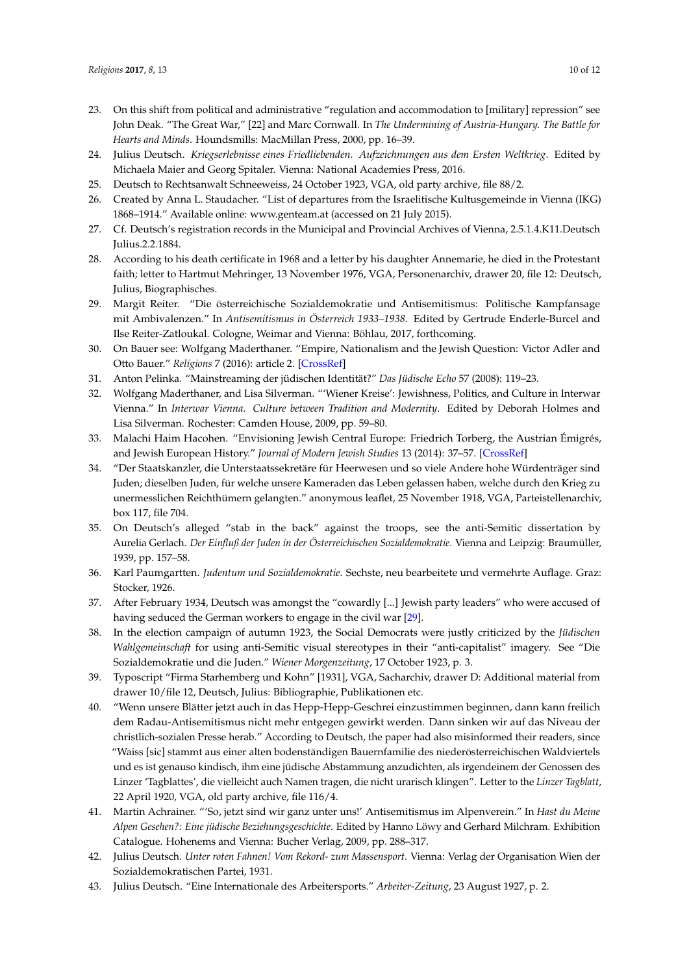- <span id="page-9-0"></span>23. On this shift from political and administrative "regulation and accommodation to [military] repression" see John Deak. "The Great War," [22] and Marc Cornwall. In *The Undermining of Austria-Hungary. The Battle for Hearts and Minds*. Houndsmills: MacMillan Press, 2000, pp. 16–39.
- <span id="page-9-1"></span>24. Julius Deutsch. *Kriegserlebnisse eines Friedliebenden. Aufzeichnungen aus dem Ersten Weltkrieg*. Edited by Michaela Maier and Georg Spitaler. Vienna: National Academies Press, 2016.
- <span id="page-9-2"></span>25. Deutsch to Rechtsanwalt Schneeweiss, 24 October 1923, VGA, old party archive, file 88/2.
- <span id="page-9-3"></span>26. Created by Anna L. Staudacher. "List of departures from the Israelitische Kultusgemeinde in Vienna (IKG) 1868–1914." Available online: <www.genteam.at> (accessed on 21 July 2015).
- <span id="page-9-4"></span>27. Cf. Deutsch's registration records in the Municipal and Provincial Archives of Vienna, 2.5.1.4.K11.Deutsch Julius.2.2.1884.
- <span id="page-9-5"></span>28. According to his death certificate in 1968 and a letter by his daughter Annemarie, he died in the Protestant faith; letter to Hartmut Mehringer, 13 November 1976, VGA, Personenarchiv, drawer 20, file 12: Deutsch, Julius, Biographisches.
- <span id="page-9-6"></span>29. Margit Reiter. "Die österreichische Sozialdemokratie und Antisemitismus: Politische Kampfansage mit Ambivalenzen." In *Antisemitismus in Österreich 1933–1938*. Edited by Gertrude Enderle-Burcel and Ilse Reiter-Zatloukal. Cologne, Weimar and Vienna: Böhlau, 2017, forthcoming.
- <span id="page-9-7"></span>30. On Bauer see: Wolfgang Maderthaner. "Empire, Nationalism and the Jewish Question: Victor Adler and Otto Bauer." *Religions* 7 (2016): article 2. [\[CrossRef\]](http://dx.doi.org/10.3390/rel7010002)
- <span id="page-9-8"></span>31. Anton Pelinka. "Mainstreaming der jüdischen Identität?" *Das Jüdische Echo* 57 (2008): 119–23.
- <span id="page-9-9"></span>32. Wolfgang Maderthaner, and Lisa Silverman. "'Wiener Kreise': Jewishness, Politics, and Culture in Interwar Vienna." In *Interwar Vienna. Culture between Tradition and Modernity*. Edited by Deborah Holmes and Lisa Silverman. Rochester: Camden House, 2009, pp. 59–80.
- <span id="page-9-10"></span>33. Malachi Haim Hacohen. "Envisioning Jewish Central Europe: Friedrich Torberg, the Austrian Émigrés, and Jewish European History." *Journal of Modern Jewish Studies* 13 (2014): 37–57. [\[CrossRef\]](http://dx.doi.org/10.1080/14725886.2014.880242)
- <span id="page-9-11"></span>34. "Der Staatskanzler, die Unterstaatssekretäre für Heerwesen und so viele Andere hohe Würdenträger sind Juden; dieselben Juden, für welche unsere Kameraden das Leben gelassen haben, welche durch den Krieg zu unermesslichen Reichthümern gelangten." anonymous leaflet, 25 November 1918, VGA, Parteistellenarchiv, box 117, file 704.
- <span id="page-9-12"></span>35. On Deutsch's alleged "stab in the back" against the troops, see the anti-Semitic dissertation by Aurelia Gerlach. *Der Einfluß der Juden in der Österreichischen Sozialdemokratie*. Vienna and Leipzig: Braumüller, 1939, pp. 157–58.
- <span id="page-9-13"></span>36. Karl Paumgartten. *Judentum und Sozialdemokratie*. Sechste, neu bearbeitete und vermehrte Auflage. Graz: Stocker, 1926.
- <span id="page-9-14"></span>37. After February 1934, Deutsch was amongst the "cowardly [...] Jewish party leaders" who were accused of having seduced the German workers to engage in the civil war [\[29\]](#page-9-6).
- <span id="page-9-15"></span>38. In the election campaign of autumn 1923, the Social Democrats were justly criticized by the *Jüdischen Wahlgemeinschaft* for using anti-Semitic visual stereotypes in their "anti-capitalist" imagery. See "Die Sozialdemokratie und die Juden." *Wiener Morgenzeitung*, 17 October 1923, p. 3.
- <span id="page-9-16"></span>39. Typoscript "Firma Starhemberg und Kohn" [1931], VGA, Sacharchiv, drawer D: Additional material from drawer 10/file 12, Deutsch, Julius: Bibliographie, Publikationen etc.
- <span id="page-9-17"></span>40. "Wenn unsere Blätter jetzt auch in das Hepp-Hepp-Geschrei einzustimmen beginnen, dann kann freilich dem Radau-Antisemitismus nicht mehr entgegen gewirkt werden. Dann sinken wir auf das Niveau der christlich-sozialen Presse herab." According to Deutsch, the paper had also misinformed their readers, since "Waiss [sic] stammt aus einer alten bodenständigen Bauernfamilie des niederösterreichischen Waldviertels und es ist genauso kindisch, ihm eine jüdische Abstammung anzudichten, als irgendeinem der Genossen des Linzer 'Tagblattes', die vielleicht auch Namen tragen, die nicht urarisch klingen". Letter to the *Linzer Tagblatt*, 22 April 1920, VGA, old party archive, file 116/4.
- <span id="page-9-18"></span>41. Martin Achrainer. "'So, jetzt sind wir ganz unter uns!' Antisemitismus im Alpenverein." In *Hast du Meine Alpen Gesehen?: Eine jüdische Beziehungsgeschichte*. Edited by Hanno Löwy and Gerhard Milchram. Exhibition Catalogue. Hohenems and Vienna: Bucher Verlag, 2009, pp. 288–317.
- <span id="page-9-19"></span>42. Julius Deutsch. *Unter roten Fahnen! Vom Rekord- zum Massensport*. Vienna: Verlag der Organisation Wien der Sozialdemokratischen Partei, 1931.
- <span id="page-9-20"></span>43. Julius Deutsch. "Eine Internationale des Arbeitersports." *Arbeiter-Zeitung*, 23 August 1927, p. 2.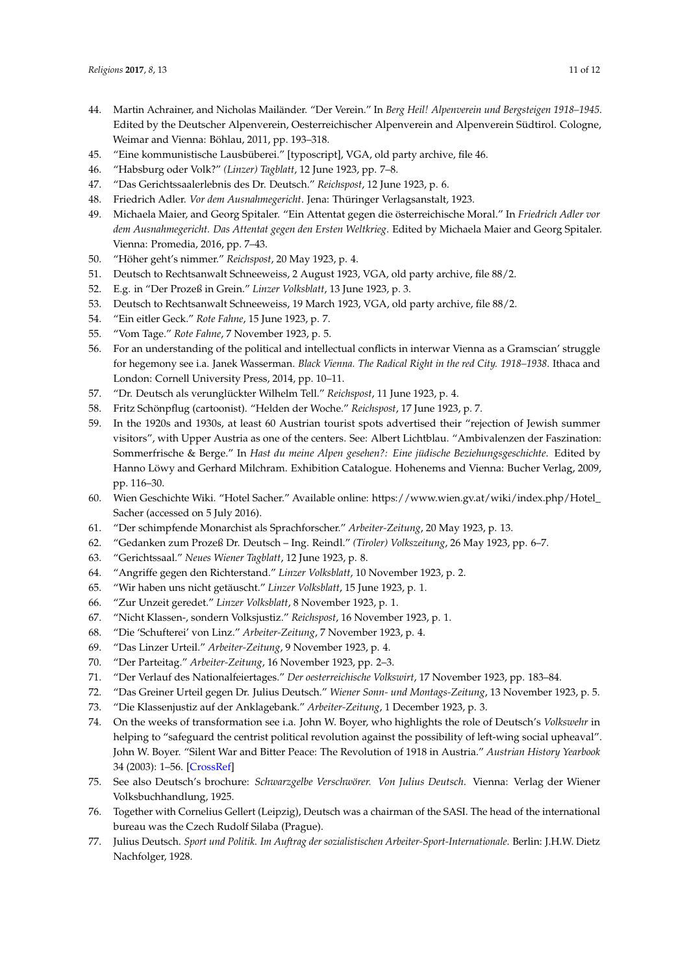- <span id="page-10-0"></span>44. Martin Achrainer, and Nicholas Mailänder. "Der Verein." In *Berg Heil! Alpenverein und Bergsteigen 1918–1945*. Edited by the Deutscher Alpenverein, Oesterreichischer Alpenverein and Alpenverein Südtirol. Cologne, Weimar and Vienna: Böhlau, 2011, pp. 193–318.
- <span id="page-10-1"></span>45. "Eine kommunistische Lausbüberei." [typoscript], VGA, old party archive, file 46.
- <span id="page-10-2"></span>46. "Habsburg oder Volk?" *(Linzer) Tagblatt*, 12 June 1923, pp. 7–8.
- <span id="page-10-3"></span>47. "Das Gerichtssaalerlebnis des Dr. Deutsch." *Reichspost*, 12 June 1923, p. 6.
- <span id="page-10-4"></span>48. Friedrich Adler. *Vor dem Ausnahmegericht*. Jena: Thüringer Verlagsanstalt, 1923.
- <span id="page-10-5"></span>49. Michaela Maier, and Georg Spitaler. "Ein Attentat gegen die österreichische Moral." In *Friedrich Adler vor dem Ausnahmegericht. Das Attentat gegen den Ersten Weltkrieg*. Edited by Michaela Maier and Georg Spitaler. Vienna: Promedia, 2016, pp. 7–43.
- <span id="page-10-6"></span>50. "Höher geht's nimmer." *Reichspost*, 20 May 1923, p. 4.
- <span id="page-10-7"></span>51. Deutsch to Rechtsanwalt Schneeweiss, 2 August 1923, VGA, old party archive, file 88/2.
- <span id="page-10-8"></span>52. E.g. in "Der Prozeß in Grein." *Linzer Volksblatt*, 13 June 1923, p. 3.
- <span id="page-10-9"></span>53. Deutsch to Rechtsanwalt Schneeweiss, 19 March 1923, VGA, old party archive, file 88/2.
- <span id="page-10-10"></span>54. "Ein eitler Geck." *Rote Fahne*, 15 June 1923, p. 7.
- <span id="page-10-11"></span>55. "Vom Tage." *Rote Fahne*, 7 November 1923, p. 5.
- <span id="page-10-12"></span>56. For an understanding of the political and intellectual conflicts in interwar Vienna as a Gramscian' struggle for hegemony see i.a. Janek Wasserman. *Black Vienna. The Radical Right in the red City. 1918–1938*. Ithaca and London: Cornell University Press, 2014, pp. 10–11.
- <span id="page-10-13"></span>57. "Dr. Deutsch als verunglückter Wilhelm Tell." *Reichspost*, 11 June 1923, p. 4.
- <span id="page-10-14"></span>58. Fritz Schönpflug (cartoonist). "Helden der Woche." *Reichspost*, 17 June 1923, p. 7.
- <span id="page-10-15"></span>59. In the 1920s and 1930s, at least 60 Austrian tourist spots advertised their "rejection of Jewish summer visitors", with Upper Austria as one of the centers. See: Albert Lichtblau. "Ambivalenzen der Faszination: Sommerfrische & Berge." In *Hast du meine Alpen gesehen?: Eine jüdische Beziehungsgeschichte*. Edited by Hanno Löwy and Gerhard Milchram. Exhibition Catalogue. Hohenems and Vienna: Bucher Verlag, 2009, pp. 116–30.
- <span id="page-10-16"></span>60. Wien Geschichte Wiki. "Hotel Sacher." Available online: [https://www.wien.gv.at/wiki/index.php/Hotel\\_](https://www.wien.gv.at/wiki/index.php/Hotel_Sacher) [Sacher](https://www.wien.gv.at/wiki/index.php/Hotel_Sacher) (accessed on 5 July 2016).
- <span id="page-10-17"></span>61. "Der schimpfende Monarchist als Sprachforscher." *Arbeiter-Zeitung*, 20 May 1923, p. 13.
- <span id="page-10-18"></span>62. "Gedanken zum Prozeß Dr. Deutsch – Ing. Reindl." *(Tiroler) Volkszeitung*, 26 May 1923, pp. 6–7.
- <span id="page-10-19"></span>63. "Gerichtssaal." *Neues Wiener Tagblatt*, 12 June 1923, p. 8.
- <span id="page-10-20"></span>64. "Angriffe gegen den Richterstand." *Linzer Volksblatt*, 10 November 1923, p. 2.
- <span id="page-10-21"></span>65. "Wir haben uns nicht getäuscht." *Linzer Volksblatt*, 15 June 1923, p. 1.
- <span id="page-10-22"></span>66. "Zur Unzeit geredet." *Linzer Volksblatt*, 8 November 1923, p. 1.
- <span id="page-10-23"></span>67. "Nicht Klassen-, sondern Volksjustiz." *Reichspost*, 16 November 1923, p. 1.
- <span id="page-10-24"></span>68. "Die 'Schufterei' von Linz." *Arbeiter-Zeitung*, 7 November 1923, p. 4.
- <span id="page-10-25"></span>69. "Das Linzer Urteil." *Arbeiter-Zeitung*, 9 November 1923, p. 4.
- <span id="page-10-26"></span>70. "Der Parteitag." *Arbeiter-Zeitung*, 16 November 1923, pp. 2–3.
- <span id="page-10-27"></span>71. "Der Verlauf des Nationalfeiertages." *Der oesterreichische Volkswirt*, 17 November 1923, pp. 183–84.
- <span id="page-10-28"></span>72. "Das Greiner Urteil gegen Dr. Julius Deutsch." *Wiener Sonn- und Montags-Zeitung*, 13 November 1923, p. 5.
- <span id="page-10-29"></span>73. "Die Klassenjustiz auf der Anklagebank." *Arbeiter-Zeitung*, 1 December 1923, p. 3.
- <span id="page-10-30"></span>74. On the weeks of transformation see i.a. John W. Boyer, who highlights the role of Deutsch's *Volkswehr* in helping to "safeguard the centrist political revolution against the possibility of left-wing social upheaval". John W. Boyer. "Silent War and Bitter Peace: The Revolution of 1918 in Austria." *Austrian History Yearbook* 34 (2003): 1–56. [\[CrossRef\]](http://dx.doi.org/10.1017/S0067237800020427)
- <span id="page-10-31"></span>75. See also Deutsch's brochure: *Schwarzgelbe Verschwörer. Von Julius Deutsch*. Vienna: Verlag der Wiener Volksbuchhandlung, 1925.
- <span id="page-10-32"></span>76. Together with Cornelius Gellert (Leipzig), Deutsch was a chairman of the SASI. The head of the international bureau was the Czech Rudolf Silaba (Prague).
- <span id="page-10-33"></span>77. Julius Deutsch. *Sport und Politik. Im Auftrag der sozialistischen Arbeiter-Sport-Internationale*. Berlin: J.H.W. Dietz Nachfolger, 1928.